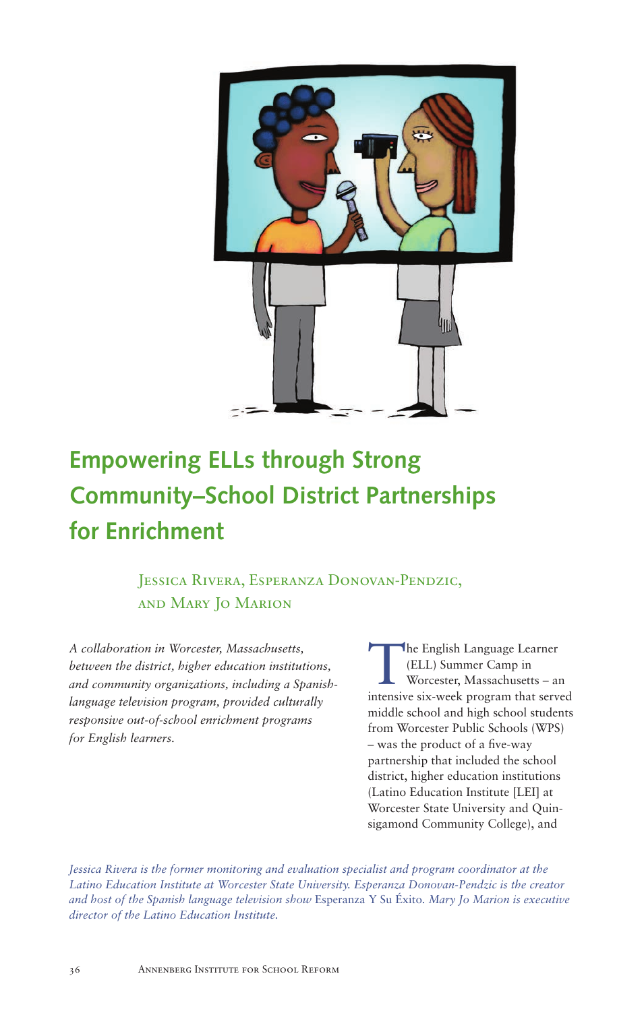

# **Empowering ELLs through Strong Community–School District Partnerships for Enrichment**

 Jessica Rivera, Esperanza Donovan-Pendzic, and Mary Jo Marion

*A collaboration in Worcester, Massachusetts, between the district, higher education institutions, and community organizations, including a Spanishlanguage television program, provided culturally responsive out-of-school enrichment programs for English learners.*

The English Language Learner<br>
(ELL) Summer Camp in<br>
Worcester, Massachusetts – an (ELL) Summer Camp in intensive six-week program that served middle school and high school students from Worcester Public Schools (WPS) – was the product of a five-way partnership that included the school district, higher education institutions (Latino Education Institute [LEI] at Worcester State University and Quinsigamond Community College), and

*Jessica Rivera is the former monitoring and evaluation specialist and program coordinator at the Latino Education Institute at Worcester State University. Esperanza Donovan-Pendzic is the creator and host of the Spanish language television show* Esperanza Y Su Éxito*. Mary Jo Marion is executive director of the Latino Education Institute.*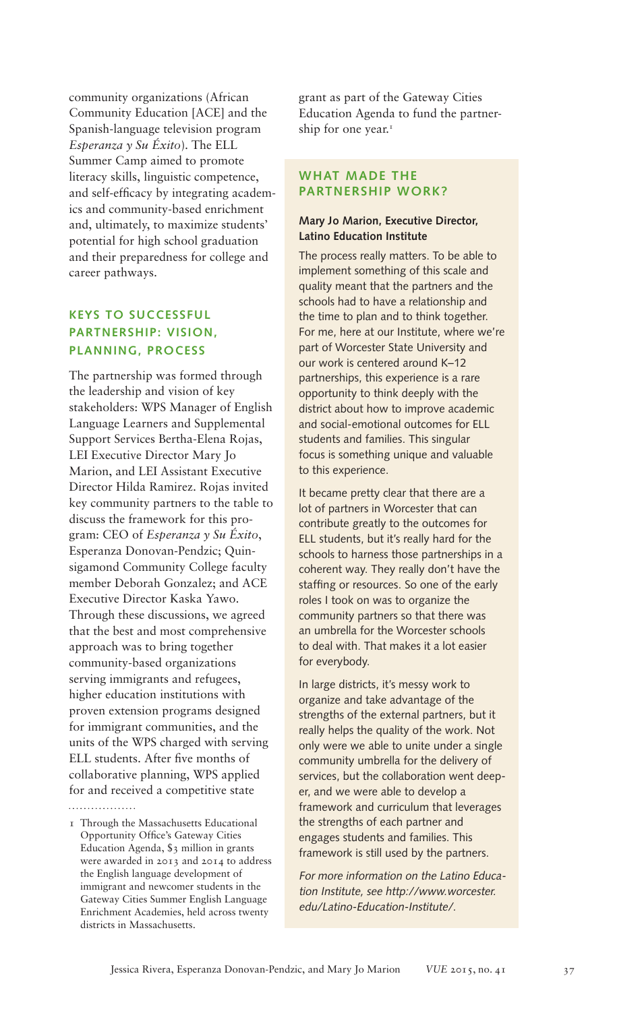community organizations (African Community Education [ACE] and the Spanish-language television program *Esperanza y Su Éxito*). The ELL Summer Camp aimed to promote literacy skills, linguistic competence, and self-efficacy by integrating academics and community-based enrichment and, ultimately, to maximize students' potential for high school graduation and their preparedness for college and career pathways.

# **KEYS TO SUCCESSFUL PARTNERSHIP: VISION, PLANNING, PROCESS**

The partnership was formed through the leadership and vision of key stakeholders: WPS Manager of English Language Learners and Supplemental Support Services Bertha-Elena Rojas, LEI Executive Director Mary Jo Marion, and LEI Assistant Executive Director Hilda Ramirez. Rojas invited key community partners to the table to discuss the framework for this program: CEO of *Esperanza y Su Éxito*, Esperanza Donovan-Pendzic; Quinsigamond Community College faculty member Deborah Gonzalez; and ACE Executive Director Kaska Yawo. Through these discussions, we agreed that the best and most comprehensive approach was to bring together community-based organizations serving immigrants and refugees, higher education institutions with proven extension programs designed for immigrant communities, and the units of the WPS charged with serving ELL students. After five months of collaborative planning, WPS applied for and received a competitive state

grant as part of the Gateway Cities Education Agenda to fund the partnership for one year.<sup>1</sup>

## **WHAT MADE THE PARTNERSHIP WORK?**

## **Mary Jo Marion, Executive Director, Latino Education Institute**

The process really matters. To be able to implement something of this scale and quality meant that the partners and the schools had to have a relationship and the time to plan and to think together. For me, here at our Institute, where we're part of Worcester State University and our work is centered around K–12 partnerships, this experience is a rare opportunity to think deeply with the district about how to improve academic and social-emotional outcomes for ELL students and families. This singular focus is something unique and valuable to this experience.

It became pretty clear that there are a lot of partners in Worcester that can contribute greatly to the outcomes for ELL students, but it's really hard for the schools to harness those partnerships in a coherent way. They really don't have the staffing or resources. So one of the early roles I took on was to organize the community partners so that there was an umbrella for the Worcester schools to deal with. That makes it a lot easier for everybody.

In large districts, it's messy work to organize and take advantage of the strengths of the external partners, but it really helps the quality of the work. Not only were we able to unite under a single community umbrella for the delivery of services, but the collaboration went deeper, and we were able to develop a framework and curriculum that leverages the strengths of each partner and engages students and families. This framework is still used by the partners.

For more information on the Latino Education Institute, see http://www.worcester. edu/Latino-Education-Institute/.

<sup>1</sup> Through the Massachusetts Educational Opportunity Office's Gateway Cities Education Agenda, \$3 million in grants were awarded in 2013 and 2014 to address the English language development of immigrant and newcomer students in the Gateway Cities Summer English Language Enrichment Academies, held across twenty districts in Massachusetts.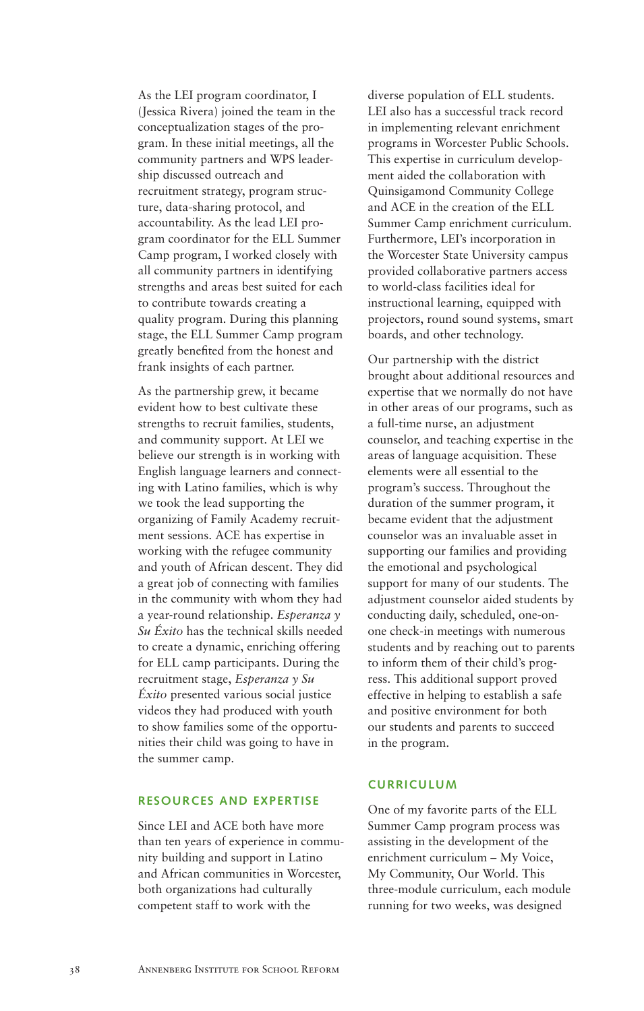As the LEI program coordinator, I (Jessica Rivera) joined the team in the conceptualization stages of the program. In these initial meetings, all the community partners and WPS leadership discussed outreach and recruitment strategy, program structure, data-sharing protocol, and accountability. As the lead LEI program coordinator for the ELL Summer Camp program, I worked closely with all community partners in identifying strengths and areas best suited for each to contribute towards creating a quality program. During this planning stage, the ELL Summer Camp program greatly benefited from the honest and frank insights of each partner.

As the partnership grew, it became evident how to best cultivate these strengths to recruit families, students, and community support. At LEI we believe our strength is in working with English language learners and connecting with Latino families, which is why we took the lead supporting the organizing of Family Academy recruitment sessions. ACE has expertise in working with the refugee community and youth of African descent. They did a great job of connecting with families in the community with whom they had a year-round relationship. *Esperanza y Su Éxito* has the technical skills needed to create a dynamic, enriching offering for ELL camp participants. During the recruitment stage, *Esperanza y Su Éxito* presented various social justice videos they had produced with youth to show families some of the opportunities their child was going to have in the summer camp.

## **RESOURCES AND EXPERTISE**

Since LEI and ACE both have more than ten years of experience in community building and support in Latino and African communities in Worcester, both organizations had culturally competent staff to work with the

diverse population of ELL students. LEI also has a successful track record in implementing relevant enrichment programs in Worcester Public Schools. This expertise in curriculum development aided the collaboration with Quinsigamond Community College and ACE in the creation of the ELL Summer Camp enrichment curriculum. Furthermore, LEI's incorporation in the Worcester State University campus provided collaborative partners access to world-class facilities ideal for instructional learning, equipped with projectors, round sound systems, smart boards, and other technology.

Our partnership with the district brought about additional resources and expertise that we normally do not have in other areas of our programs, such as a full-time nurse, an adjustment counselor, and teaching expertise in the areas of language acquisition. These elements were all essential to the program's success. Throughout the duration of the summer program, it became evident that the adjustment counselor was an invaluable asset in supporting our families and providing the emotional and psychological support for many of our students. The adjustment counselor aided students by conducting daily, scheduled, one-onone check-in meetings with numerous students and by reaching out to parents to inform them of their child's progress. This additional support proved effective in helping to establish a safe and positive environment for both our students and parents to succeed in the program.

#### **CURRICULUM**

One of my favorite parts of the ELL Summer Camp program process was assisting in the development of the enrichment curriculum – My Voice, My Community, Our World. This three-module curriculum, each module running for two weeks, was designed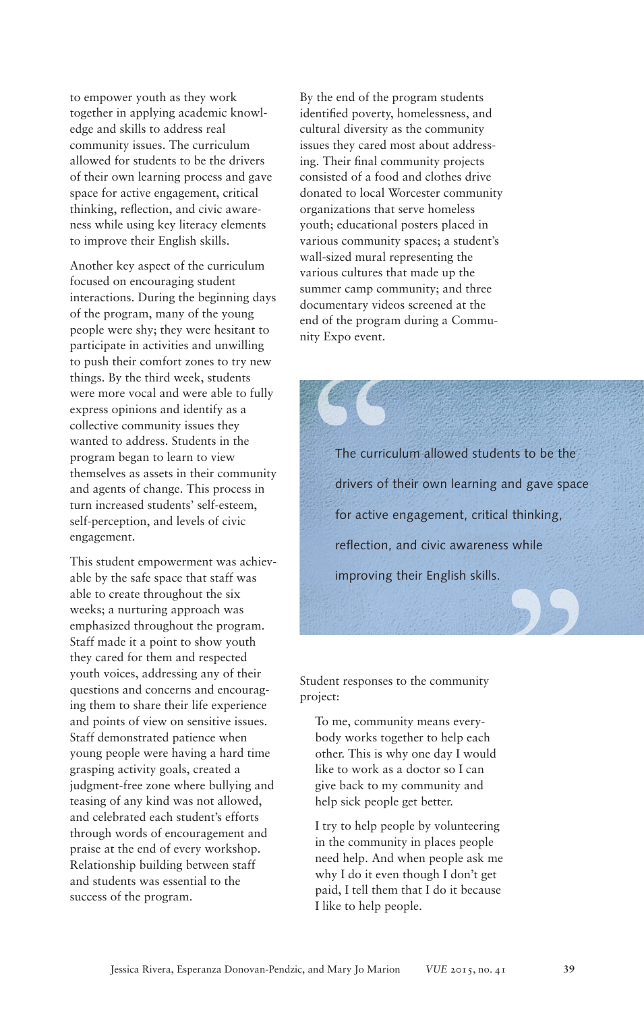to empower youth as they work together in applying academic knowledge and skills to address real community issues. The curriculum allowed for students to be the drivers of their own learning process and gave space for active engagement, critical thinking, reflection, and civic awareness while using key literacy elements to improve their English skills.

Another key aspect of the curriculum focused on encouraging student interactions. During the beginning days of the program, many of the young people were shy; they were hesitant to participate in activities and unwilling to push their comfort zones to try new things. By the third week, students were more vocal and were able to fully express opinions and identify as a collective community issues they wanted to address. Students in the program began to learn to view themselves as assets in their community and agents of change. This process in turn increased students' self-esteem, self-perception, and levels of civic engagement.

This student empowerment was achievable by the safe space that staff was able to create throughout the six weeks; a nurturing approach was emphasized throughout the program. Staff made it a point to show youth they cared for them and respected youth voices, addressing any of their questions and concerns and encouraging them to share their life experience and points of view on sensitive issues. Staff demonstrated patience when young people were having a hard time grasping activity goals, created a judgment-free zone where bullying and teasing of any kind was not allowed, and celebrated each student's efforts through words of encouragement and praise at the end of every workshop. Relationship building between staff and students was essential to the success of the program.

By the end of the program students identified poverty, homelessness, and cultural diversity as the community issues they cared most about addressing. Their final community projects consisted of a food and clothes drive donated to local Worcester community organizations that serve homeless youth; educational posters placed in various community spaces; a student's wall-sized mural representing the various cultures that made up the summer camp community; and three documentary videos screened at the end of the program during a Community Expo event.

The curriculum<br>
drivers of the formative entries The curriculum allowed students to be the drivers of their own learning and gave space for active engagement, critical thinking, reflection, and civic awareness while " improving their English skills.

Student responses to the community project:

To me, community means everybody works together to help each other. This is why one day I would like to work as a doctor so I can give back to my community and help sick people get better.

I try to help people by volunteering in the community in places people need help. And when people ask me why I do it even though I don't get paid, I tell them that I do it because I like to help people.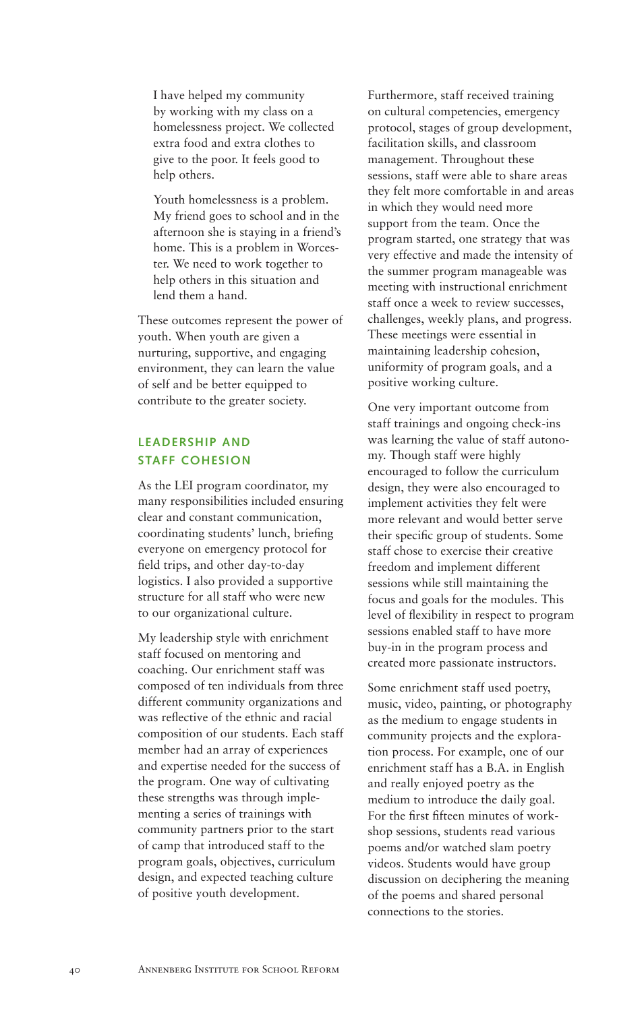I have helped my community by working with my class on a homelessness project. We collected extra food and extra clothes to give to the poor. It feels good to help others.

Youth homelessness is a problem. My friend goes to school and in the afternoon she is staying in a friend's home. This is a problem in Worcester. We need to work together to help others in this situation and lend them a hand.

These outcomes represent the power of youth. When youth are given a nurturing, supportive, and engaging environment, they can learn the value of self and be better equipped to contribute to the greater society.

## **LEADERSHIP AND STAFF COHESION**

As the LEI program coordinator, my many responsibilities included ensuring clear and constant communication, coordinating students' lunch, briefing everyone on emergency protocol for field trips, and other day-to-day logistics. I also provided a supportive structure for all staff who were new to our organizational culture.

My leadership style with enrichment staff focused on mentoring and coaching. Our enrichment staff was composed of ten individuals from three different community organizations and was reflective of the ethnic and racial composition of our students. Each staff member had an array of experiences and expertise needed for the success of the program. One way of cultivating these strengths was through implementing a series of trainings with community partners prior to the start of camp that introduced staff to the program goals, objectives, curriculum design, and expected teaching culture of positive youth development.

Furthermore, staff received training on cultural competencies, emergency protocol, stages of group development, facilitation skills, and classroom management. Throughout these sessions, staff were able to share areas they felt more comfortable in and areas in which they would need more support from the team. Once the program started, one strategy that was very effective and made the intensity of the summer program manageable was meeting with instructional enrichment staff once a week to review successes, challenges, weekly plans, and progress. These meetings were essential in maintaining leadership cohesion, uniformity of program goals, and a positive working culture.

One very important outcome from staff trainings and ongoing check-ins was learning the value of staff autonomy. Though staff were highly encouraged to follow the curriculum design, they were also encouraged to implement activities they felt were more relevant and would better serve their specific group of students. Some staff chose to exercise their creative freedom and implement different sessions while still maintaining the focus and goals for the modules. This level of flexibility in respect to program sessions enabled staff to have more buy-in in the program process and created more passionate instructors.

Some enrichment staff used poetry, music, video, painting, or photography as the medium to engage students in community projects and the exploration process. For example, one of our enrichment staff has a B.A. in English and really enjoyed poetry as the medium to introduce the daily goal. For the first fifteen minutes of workshop sessions, students read various poems and/or watched slam poetry videos. Students would have group discussion on deciphering the meaning of the poems and shared personal connections to the stories.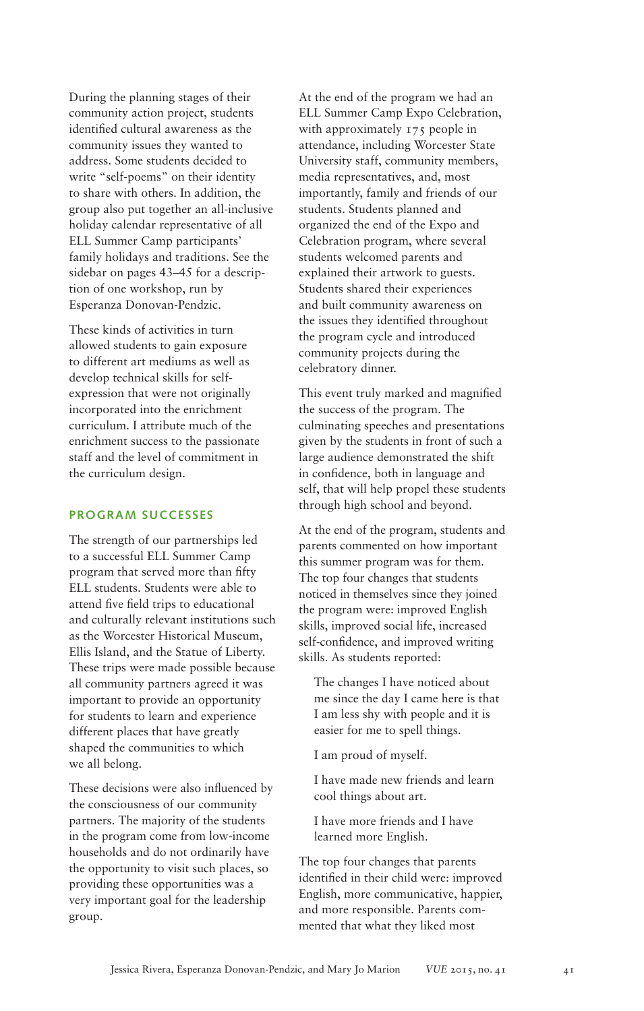During the planning stages of their community action project, students identified cultural awareness as the community issues they wanted to address. Some students decided to write "self-poems" on their identity to share with others. In addition, the group also put together an all-inclusive holiday calendar representative of all ELL Summer Camp participants' family holidays and traditions. See the sidebar on pages 43–45 for a description of one workshop, run by Esperanza Donovan-Pendzic.

These kinds of activities in turn allowed students to gain exposure to different art mediums as well as develop technical skills for selfexpression that were not originally incorporated into the enrichment curriculum. I attribute much of the enrichment success to the passionate staff and the level of commitment in the curriculum design.

## **PROGRAM SUCCESSES**

The strength of our partnerships led to a successful ELL Summer Camp program that served more than fifty ELL students. Students were able to attend five field trips to educational and culturally relevant institutions such as the Worcester Historical Museum, Ellis Island, and the Statue of Liberty. These trips were made possible because all community partners agreed it was important to provide an opportunity for students to learn and experience different places that have greatly shaped the communities to which we all belong.

These decisions were also influenced by the consciousness of our community partners. The majority of the students in the program come from low-income households and do not ordinarily have the opportunity to visit such places, so providing these opportunities was a very important goal for the leadership group.

At the end of the program we had an ELL Summer Camp Expo Celebration, with approximately 175 people in attendance, including Worcester State University staff, community members, media representatives, and, most importantly, family and friends of our students. Students planned and organized the end of the Expo and Celebration program, where several students welcomed parents and explained their artwork to guests. Students shared their experiences and built community awareness on the issues they identified throughout the program cycle and introduced community projects during the celebratory dinner.

This event truly marked and magnified the success of the program. The culminating speeches and presentations given by the students in front of such a large audience demonstrated the shift in confidence, both in language and self, that will help propel these students through high school and beyond.

At the end of the program, students and parents commented on how important this summer program was for them. The top four changes that students noticed in themselves since they joined the program were: improved English skills, improved social life, increased self-confidence, and improved writing skills. As students reported:

The changes I have noticed about me since the day I came here is that I am less shy with people and it is easier for me to spell things.

I am proud of myself.

I have made new friends and learn cool things about art.

I have more friends and I have learned more English.

The top four changes that parents identified in their child were: improved English, more communicative, happier, and more responsible. Parents commented that what they liked most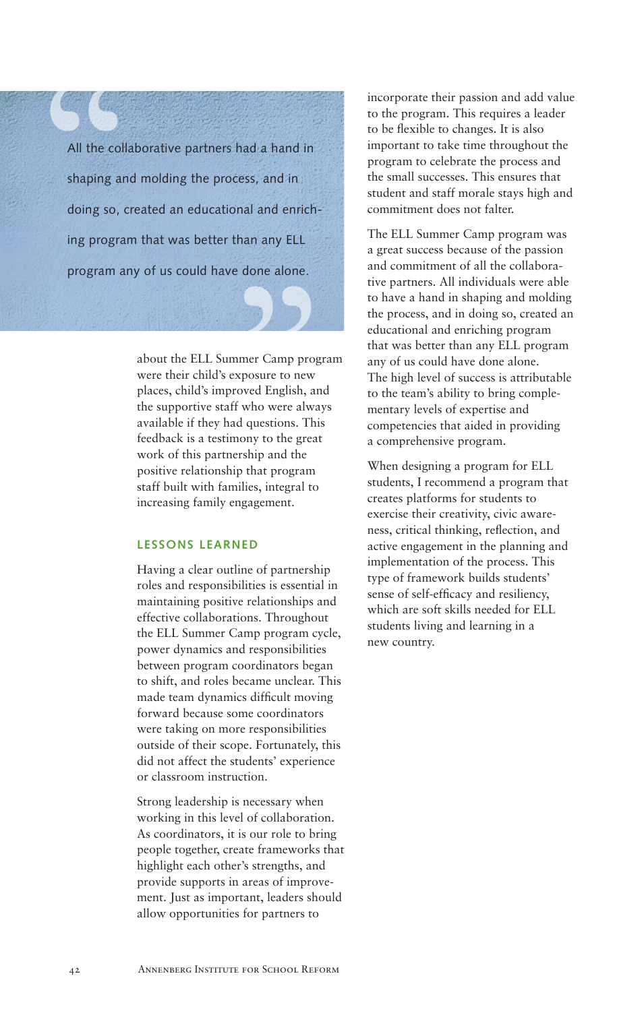All the collal<br>
shaping and<br>
doing so, creating program al and enrich-<br>an any ELL<br>done alone. All the collaborative partners had a hand in shaping and molding the process, and in doing so, created an educational and enriching program that was better than any ELL program any of us could have done alone.

> about the ELL Summer Camp program were their child's exposure to new places, child's improved English, and the supportive staff who were always available if they had questions. This feedback is a testimony to the great work of this partnership and the positive relationship that program staff built with families, integral to increasing family engagement.

## **LESSONS LEARNED**

Having a clear outline of partnership roles and responsibilities is essential in maintaining positive relationships and effective collaborations. Throughout the ELL Summer Camp program cycle, power dynamics and responsibilities between program coordinators began to shift, and roles became unclear. This made team dynamics difficult moving forward because some coordinators were taking on more responsibilities outside of their scope. Fortunately, this did not affect the students' experience or classroom instruction.

Strong leadership is necessary when working in this level of collaboration. As coordinators, it is our role to bring people together, create frameworks that highlight each other's strengths, and provide supports in areas of improvement. Just as important, leaders should allow opportunities for partners to

incorporate their passion and add value to the program. This requires a leader to be flexible to changes. It is also important to take time throughout the program to celebrate the process and the small successes. This ensures that student and staff morale stays high and commitment does not falter.

The ELL Summer Camp program was a great success because of the passion and commitment of all the collaborative partners. All individuals were able to have a hand in shaping and molding the process, and in doing so, created an educational and enriching program that was better than any ELL program any of us could have done alone. The high level of success is attributable to the team's ability to bring complementary levels of expertise and competencies that aided in providing a comprehensive program.

When designing a program for ELL students, I recommend a program that creates platforms for students to exercise their creativity, civic awareness, critical thinking, reflection, and active engagement in the planning and implementation of the process. This type of framework builds students' sense of self-efficacy and resiliency, which are soft skills needed for ELL students living and learning in a new country.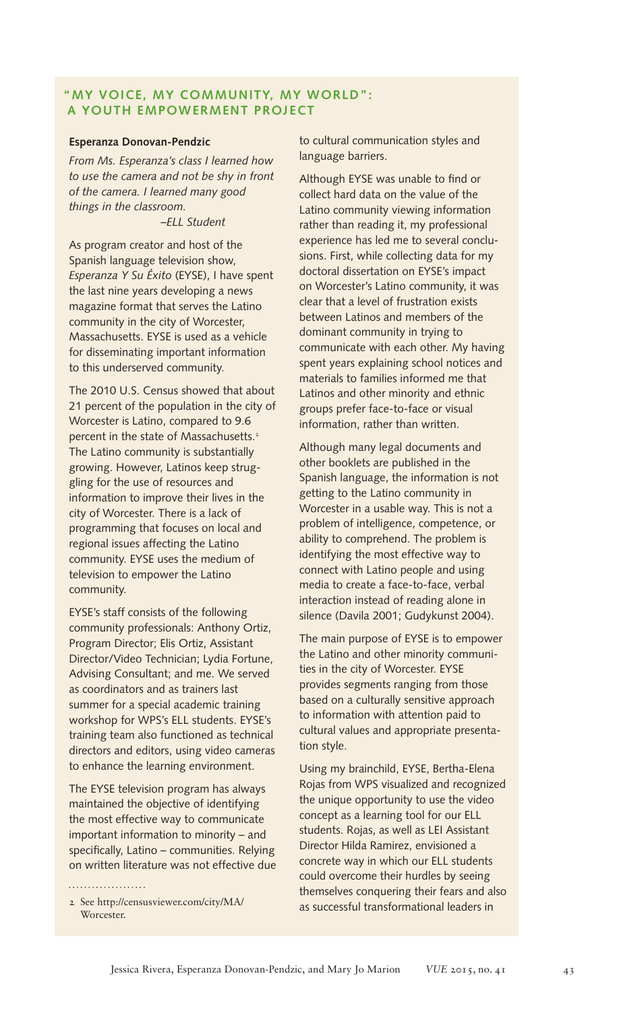## **"MY VOICE, MY COMMUNITY, MY WORLD": A YOUTH EMPOWERMENT PROJECT**

#### **Esperanza Donovan-Pendzic**

*From Ms. Esperanza's class I learned how to use the camera and not be shy in front of the camera. I learned many good things in the classroom.*

 *–ELL Student*

As program creator and host of the Spanish language television show, *Esperanza Y Su Éxito* (EYSE), I have spent the last nine years developing a news magazine format that serves the Latino community in the city of Worcester, Massachusetts. EYSE is used as a vehicle for disseminating important information to this underserved community.

The 2010 U.S. Census showed that about 21 percent of the population in the city of Worcester is Latino, compared to 9.6 percent in the state of Massachusetts.<sup>2</sup> The Latino community is substantially growing. However, Latinos keep struggling for the use of resources and information to improve their lives in the city of Worcester. There is a lack of programming that focuses on local and regional issues affecting the Latino community. EYSE uses the medium of television to empower the Latino community.

EYSE's staff consists of the following community professionals: Anthony Ortiz, Program Director; Elis Ortiz, Assistant Director/Video Technician; Lydia Fortune, Advising Consultant; and me. We served as coordinators and as trainers last summer for a special academic training workshop for WPS's ELL students. EYSE's training team also functioned as technical directors and editors, using video cameras to enhance the learning environment.

The EYSE television program has always maintained the objective of identifying the most effective way to communicate important information to minority – and specifically, Latino – communities. Relying on written literature was not effective due

. . . . . . . . . . . . . . . . . . .

to cultural communication styles and language barriers.

Although EYSE was unable to find or collect hard data on the value of the Latino community viewing information rather than reading it, my professional experience has led me to several conclusions. First, while collecting data for my doctoral dissertation on EYSE's impact on Worcester's Latino community, it was clear that a level of frustration exists between Latinos and members of the dominant community in trying to communicate with each other. My having spent years explaining school notices and materials to families informed me that Latinos and other minority and ethnic groups prefer face-to-face or visual information, rather than written.

Although many legal documents and other booklets are published in the Spanish language, the information is not getting to the Latino community in Worcester in a usable way. This is not a problem of intelligence, competence, or ability to comprehend. The problem is identifying the most effective way to connect with Latino people and using media to create a face-to-face, verbal interaction instead of reading alone in silence (Davila 2001; Gudykunst 2004).

The main purpose of EYSE is to empower the Latino and other minority communities in the city of Worcester. EYSE provides segments ranging from those based on a culturally sensitive approach to information with attention paid to cultural values and appropriate presentation style.

Using my brainchild, EYSE, Bertha-Elena Rojas from WPS visualized and recognized the unique opportunity to use the video concept as a learning tool for our ELL students. Rojas, as well as LEI Assistant Director Hilda Ramirez, envisioned a concrete way in which our ELL students could overcome their hurdles by seeing themselves conquering their fears and also as successful transformational leaders in

<sup>2</sup> See http://censusviewer.com/city/MA/ Worcester.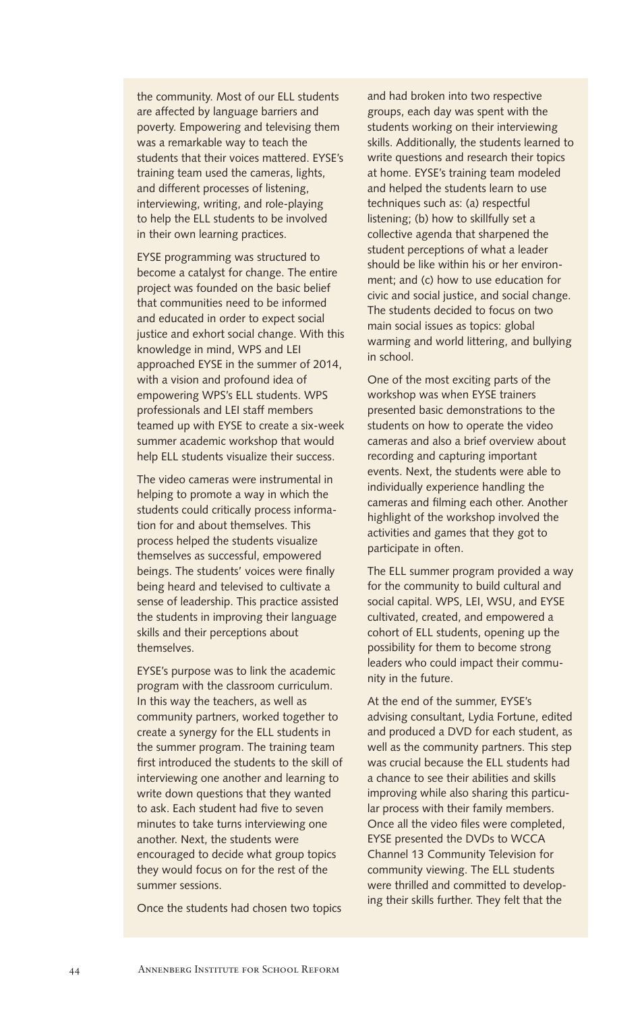the community. Most of our ELL students are affected by language barriers and poverty. Empowering and televising them was a remarkable way to teach the students that their voices mattered. EYSE's training team used the cameras, lights, and different processes of listening, interviewing, writing, and role-playing to help the ELL students to be involved in their own learning practices.

EYSE programming was structured to become a catalyst for change. The entire project was founded on the basic belief that communities need to be informed and educated in order to expect social justice and exhort social change. With this knowledge in mind, WPS and LEI approached EYSE in the summer of 2014, with a vision and profound idea of empowering WPS's ELL students. WPS professionals and LEI staff members teamed up with EYSE to create a six-week summer academic workshop that would help ELL students visualize their success.

The video cameras were instrumental in helping to promote a way in which the students could critically process information for and about themselves. This process helped the students visualize themselves as successful, empowered beings. The students' voices were finally being heard and televised to cultivate a sense of leadership. This practice assisted the students in improving their language skills and their perceptions about themselves.

EYSE's purpose was to link the academic program with the classroom curriculum. In this way the teachers, as well as community partners, worked together to create a synergy for the ELL students in the summer program. The training team first introduced the students to the skill of interviewing one another and learning to write down questions that they wanted to ask. Each student had five to seven minutes to take turns interviewing one another. Next, the students were encouraged to decide what group topics they would focus on for the rest of the summer sessions.

Once the students had chosen two topics

and had broken into two respective groups, each day was spent with the students working on their interviewing skills. Additionally, the students learned to write questions and research their topics at home. EYSE's training team modeled and helped the students learn to use techniques such as: (a) respectful listening; (b) how to skillfully set a collective agenda that sharpened the student perceptions of what a leader should be like within his or her environment; and (c) how to use education for civic and social justice, and social change. The students decided to focus on two main social issues as topics: global warming and world littering, and bullying in school.

One of the most exciting parts of the workshop was when EYSE trainers presented basic demonstrations to the students on how to operate the video cameras and also a brief overview about recording and capturing important events. Next, the students were able to individually experience handling the cameras and filming each other. Another highlight of the workshop involved the activities and games that they got to participate in often.

The ELL summer program provided a way for the community to build cultural and social capital. WPS, LEI, WSU, and EYSE cultivated, created, and empowered a cohort of ELL students, opening up the possibility for them to become strong leaders who could impact their community in the future.

At the end of the summer, EYSE's advising consultant, Lydia Fortune, edited and produced a DVD for each student, as well as the community partners. This step was crucial because the ELL students had a chance to see their abilities and skills improving while also sharing this particular process with their family members. Once all the video files were completed, EYSE presented the DVDs to WCCA Channel 13 Community Television for community viewing. The ELL students were thrilled and committed to developing their skills further. They felt that the